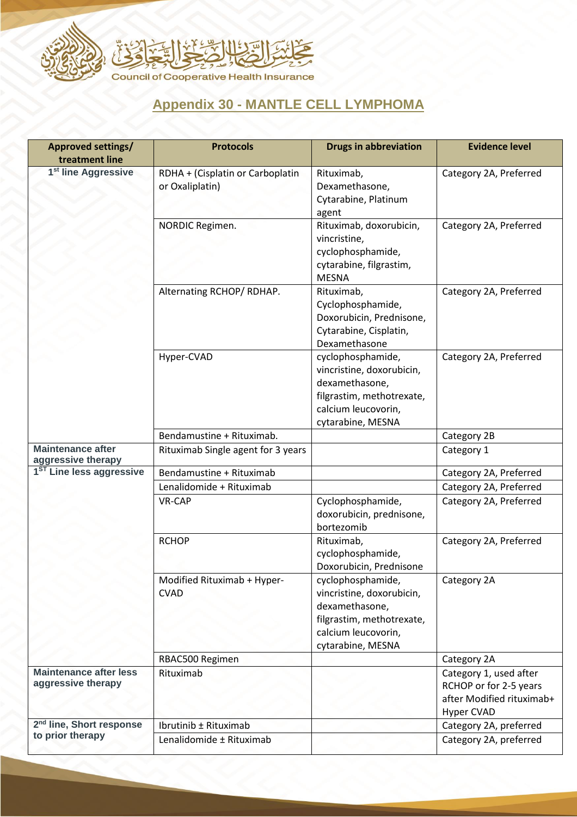

## **Appendix 30 - MANTLE CELL LYMPHOMA**

| <b>Approved settings/</b><br>treatment line              | <b>Protocols</b>                                    | <b>Drugs in abbreviation</b>                                                                                                              | <b>Evidence level</b>                                                                              |
|----------------------------------------------------------|-----------------------------------------------------|-------------------------------------------------------------------------------------------------------------------------------------------|----------------------------------------------------------------------------------------------------|
| 1 <sup>st</sup> line Aggressive                          | RDHA + (Cisplatin or Carboplatin<br>or Oxaliplatin) | Rituximab,<br>Dexamethasone,<br>Cytarabine, Platinum<br>agent                                                                             | Category 2A, Preferred                                                                             |
|                                                          | NORDIC Regimen.                                     | Rituximab, doxorubicin,<br>vincristine,<br>cyclophosphamide,<br>cytarabine, filgrastim,<br><b>MESNA</b>                                   | Category 2A, Preferred                                                                             |
|                                                          | Alternating RCHOP/RDHAP.                            | Rituximab,<br>Cyclophosphamide,<br>Doxorubicin, Prednisone,<br>Cytarabine, Cisplatin,<br>Dexamethasone                                    | Category 2A, Preferred                                                                             |
|                                                          | Hyper-CVAD                                          | cyclophosphamide,<br>vincristine, doxorubicin,<br>dexamethasone,<br>filgrastim, methotrexate,<br>calcium leucovorin,<br>cytarabine, MESNA | Category 2A, Preferred                                                                             |
|                                                          | Bendamustine + Rituximab.                           |                                                                                                                                           | Category 2B                                                                                        |
| <b>Maintenance after</b><br>aggressive therapy           | Rituximab Single agent for 3 years                  |                                                                                                                                           | Category 1                                                                                         |
| 1 <sup>ST</sup> Line less aggressive                     | Bendamustine + Rituximab                            |                                                                                                                                           | Category 2A, Preferred                                                                             |
|                                                          | Lenalidomide + Rituximab                            |                                                                                                                                           | Category 2A, Preferred                                                                             |
|                                                          | VR-CAP                                              | Cyclophosphamide,<br>doxorubicin, prednisone,<br>bortezomib                                                                               | Category 2A, Preferred                                                                             |
|                                                          | <b>RCHOP</b>                                        | Rituximab,<br>cyclophosphamide,<br>Doxorubicin, Prednisone                                                                                | Category 2A, Preferred                                                                             |
|                                                          | Modified Rituximab + Hyper-<br><b>CVAD</b>          | cyclophosphamide,<br>vincristine, doxorubicin,<br>dexamethasone,<br>filgrastim, methotrexate,<br>calcium leucovorin,<br>cytarabine, MESNA | Category 2A                                                                                        |
|                                                          | RBAC500 Regimen                                     |                                                                                                                                           | Category 2A                                                                                        |
| <b>Maintenance after less</b><br>aggressive therapy      | Rituximab                                           |                                                                                                                                           | Category 1, used after<br>RCHOP or for 2-5 years<br>after Modified rituximab+<br><b>Hyper CVAD</b> |
| 2 <sup>nd</sup> line, Short response<br>to prior therapy | Ibrutinib ± Rituximab                               |                                                                                                                                           | Category 2A, preferred                                                                             |
|                                                          | Lenalidomide ± Rituximab                            |                                                                                                                                           | Category 2A, preferred                                                                             |